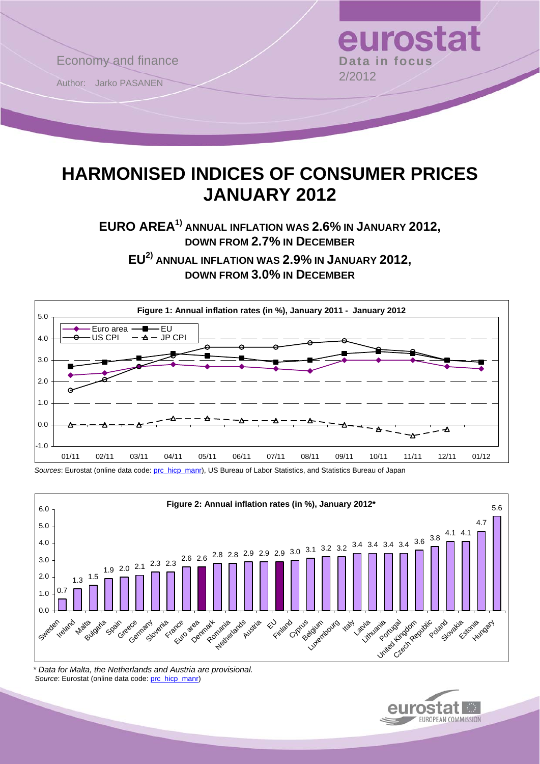

# **HARMONISED INDICES OF CONSUMER PRICES JANUARY 2012**

**EURO AREA1) ANNUAL INFLATION WAS 2.6% IN JANUARY 2012, DOWN FROM 2.7% IN DECEMBER**

**EU2) ANNUAL INFLATION WAS 2.9% IN JANUARY 2012, DOWN FROM 3.0% IN DECEMBER**



*Sources*: Eurostat (online data code: [prc\\_hicp\\_manr](http://ec.europa.eu/eurostat/product?code=prc_hicp_manr&mode=view)), US Bureau of Labor Statistics, and Statistics Bureau of Japan



*\* Data for Malta, the Netherlands and Austria are provisional.*  Source: Eurostat (online data code: [prc\\_hicp\\_manr\)](http://ec.europa.eu/eurostat/product?code=prc_hicp_manr&mode=view)

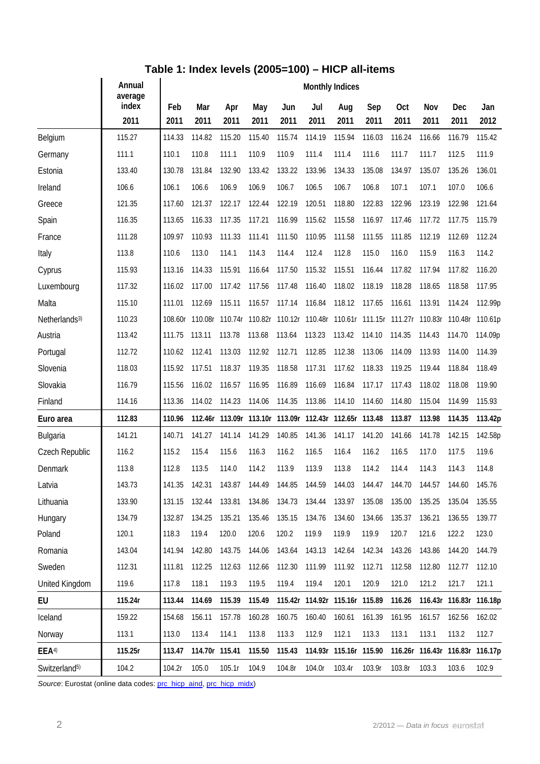## **Table 1: Index levels (2005=100) – HICP all-items**

|                           | Annual<br>average | <b>Monthly Indices</b> |                |                                 |             |             |                                                        |                        |             |                    |                                         |                                 |             |  |
|---------------------------|-------------------|------------------------|----------------|---------------------------------|-------------|-------------|--------------------------------------------------------|------------------------|-------------|--------------------|-----------------------------------------|---------------------------------|-------------|--|
|                           | index<br>2011     | Feb<br>2011            | Mar<br>2011    | Apr<br>2011                     | May<br>2011 | Jun<br>2011 | Jul<br>2011                                            | Aug<br>2011            | Sep<br>2011 | <b>Oct</b><br>2011 | Nov<br>2011                             | Dec<br>2011                     | Jan<br>2012 |  |
| Belgium                   | 115.27            | 114.33                 | 114.82         | 115.20                          | 115.40      | 115.74      | 114.19                                                 | 115.94                 | 116.03      | 116.24             | 116.66                                  | 116.79                          | 115.42      |  |
| Germany                   | 111.1             | 110.1                  | 110.8          | 111.1                           | 110.9       | 110.9       | 111.4                                                  | 111.4                  | 111.6       | 111.7              | 111.7                                   | 112.5                           | 111.9       |  |
| Estonia                   | 133.40            | 130.78                 | 131.84         | 132.90                          | 133.42      | 133.22      | 133.96                                                 | 134.33                 | 135.08      | 134.97             | 135.07                                  | 135.26                          | 136.01      |  |
| Ireland                   | 106.6             | 106.1                  | 106.6          | 106.9                           | 106.9       | 106.7       | 106.5                                                  | 106.7                  | 106.8       | 107.1              | 107.1                                   | 107.0                           | 106.6       |  |
| Greece                    | 121.35            | 117.60                 | 121.37         | 122.17                          | 122.44      | 122.19      | 120.51                                                 | 118.80                 | 122.83      | 122.96             | 123.19                                  | 122.98                          | 121.64      |  |
| Spain                     | 116.35            | 113.65                 | 116.33         | 117.35                          | 117.21      | 116.99      | 115.62                                                 | 115.58                 | 116.97      | 117.46             | 117.72                                  | 117.75                          | 115.79      |  |
| France                    | 111.28            | 109.97                 | 110.93         | 111.33                          | 111.41      | 111.50      | 110.95                                                 | 111.58                 | 111.55      | 111.85             | 112.19                                  | 112.69                          | 112.24      |  |
| Italy                     | 113.8             | 110.6                  | 113.0          | 114.1                           | 114.3       | 114.4       | 112.4                                                  | 112.8                  | 115.0       | 116.0              | 115.9                                   | 116.3                           | 114.2       |  |
| Cyprus                    | 115.93            | 113.16                 | 114.33         | 115.91                          | 116.64      | 117.50      | 115.32                                                 | 115.51                 | 116.44      | 117.82             | 117.94                                  | 117.82                          | 116.20      |  |
| Luxembourg                | 117.32            | 116.02                 | 117.00         | 117.42                          | 117.56      | 117.48      | 116.40                                                 | 118.02                 | 118.19      | 118.28             | 118.65                                  | 118.58                          | 117.95      |  |
| Malta                     | 115.10            | 111.01                 | 112.69         | 115.11                          | 116.57      | 117.14      | 116.84                                                 | 118.12                 | 117.65      | 116.61             | 113.91                                  | 114.24                          | 112.99p     |  |
| Netherlands <sup>3)</sup> | 110.23            | 108.60r                | 110.08r        | 110.74r 110.82r 110.12r 110.48r |             |             |                                                        |                        |             |                    | 110.61r 111.15r 111.27r 110.83r 110.48r |                                 | 110.61p     |  |
| Austria                   | 113.42            | 111.75                 | 113.11         | 113.78                          | 113.68      | 113.64      | 113.23                                                 | 113.42                 | 114.10      | 114.35             | 114.43                                  | 114.70                          | 114.09p     |  |
| Portugal                  | 112.72            | 110.62                 | 112.41         | 113.03                          | 112.92      | 112.71      | 112.85                                                 | 112.38                 | 113.06      | 114.09             | 113.93                                  | 114.00                          | 114.39      |  |
| Slovenia                  | 118.03            | 115.92                 | 117.51         | 118.37                          | 119.35      | 118.58      | 117.31                                                 | 117.62                 | 118.33      | 119.25             | 119.44                                  | 118.84                          | 118.49      |  |
| Slovakia                  | 116.79            | 115.56                 | 116.02         | 116.57                          | 116.95      | 116.89      | 116.69                                                 | 116.84                 | 117.17      | 117.43             | 118.02                                  | 118.08                          | 119.90      |  |
| Finland                   | 114.16            | 113.36                 | 114.02         | 114.23                          | 114.06      | 114.35      | 113.86                                                 | 114.10                 | 114.60      | 114.80             | 115.04                                  | 114.99                          | 115.93      |  |
| Euro area                 | 112.83            | 110.96                 |                |                                 |             |             | 112.46r 113.09r 113.10r 113.09r 112.43r 112.65r 113.48 |                        |             | 113.87             | 113.98                                  | 114.35                          | 113.42p     |  |
| Bulgaria                  | 141.21            | 140.71                 | 141.27         | 141.14                          | 141.29      | 140.85      | 141.36                                                 | 141.17                 | 141.20      | 141.66             | 141.78                                  | 142.15                          | 142.58p     |  |
| Czech Republic            | 116.2             | 115.2                  | 115.4          | 115.6                           | 116.3       | 116.2       | 116.5                                                  | 116.4                  | 116.2       | 116.5              | 117.0                                   | 117.5                           | 119.6       |  |
| Denmark                   | 113.8             | 112.8                  | 113.5          | 114.0                           | 114.2       | 113.9       | 113.9                                                  | 113.8                  | 114.2       | 114.4              | 114.3                                   | 114.3                           | 114.8       |  |
| Latvia                    | 143.73            | 141.35                 | 142.31         | 143.87                          | 144.49      | 144.85      | 144.59                                                 | 144.03                 | 144.47      | 144.70             | 144.57                                  | 144.60                          | 145.76      |  |
| Lithuania                 | 133.90            | 131.15                 | 132.44         | 133.81                          | 134.86      | 134.73      | 134.44                                                 | 133.97 135.08          |             | 135.00             | 135.25                                  | 135.04                          | 135.55      |  |
| Hungary                   | 134.79            | 132.87                 | 134.25         | 135.21                          | 135.46      | 135.15      | 134.76                                                 | 134.60                 | 134.66      | 135.37             | 136.21                                  | 136.55                          | 139.77      |  |
| Poland                    | 120.1             | 118.3                  | 119.4          | 120.0                           | 120.6       | 120.2       | 119.9                                                  | 119.9                  | 119.9       | 120.7              | 121.6                                   | 122.2                           | 123.0       |  |
| Romania                   | 143.04            | 141.94                 | 142.80         | 143.75                          | 144.06      | 143.64      | 143.13                                                 | 142.64                 | 142.34      | 143.26             | 143.86                                  | 144.20                          | 144.79      |  |
| Sweden                    | 112.31            | 111.81                 | 112.25         | 112.63                          | 112.66      | 112.30      | 111.99                                                 | 111.92                 | 112.71      | 112.58             | 112.80                                  | 112.77                          | 112.10      |  |
| <b>United Kingdom</b>     | 119.6             | 117.8                  | 118.1          | 119.3                           | 119.5       | 119.4       | 119.4                                                  | 120.1                  | 120.9       | 121.0              | 121.2                                   | 121.7                           | 121.1       |  |
| EU                        | 115.24r           | 113.44                 | 114.69         | 115.39                          | 115.49      |             | 115.42r 114.92r 115.16r 115.89                         |                        |             | 116.26             |                                         | 116.43r 116.83r 116.18p         |             |  |
| Iceland                   | 159.22            | 154.68                 | 156.11         | 157.78                          | 160.28      | 160.75      | 160.40                                                 | 160.61                 | 161.39      | 161.95             | 161.57                                  | 162.56                          | 162.02      |  |
| Norway                    | 113.1             | 113.0                  | 113.4          | 114.1                           | 113.8       | 113.3       | 112.9                                                  | 112.1                  | 113.3       | 113.1              | 113.1                                   | 113.2                           | 112.7       |  |
| EEA <sup>4)</sup>         | 115.25r           | 113.47                 | 114.70r 115.41 |                                 | 115.50      | 115.43      |                                                        | 114.93r 115.16r 115.90 |             |                    |                                         | 116.26r 116.43r 116.83r 116.17p |             |  |
| Switzerland <sup>5)</sup> | 104.2             | 104.2r                 | 105.0          | 105.1r                          | 104.9       | 104.8r      | 104.0r                                                 | 103.4r                 | 103.9r      | 103.8r             | 103.3                                   | 103.6                           | 102.9       |  |

Source: Eurostat (online data codes: [prc\\_hicp\\_aind](http://ec.europa.eu/eurostat/product?code=prc_hicp_aind&mode=view), [prc\\_hicp\\_midx](http://ec.europa.eu/eurostat/product?code=prc_hicp_midx&mode=view))

 $\overline{a}$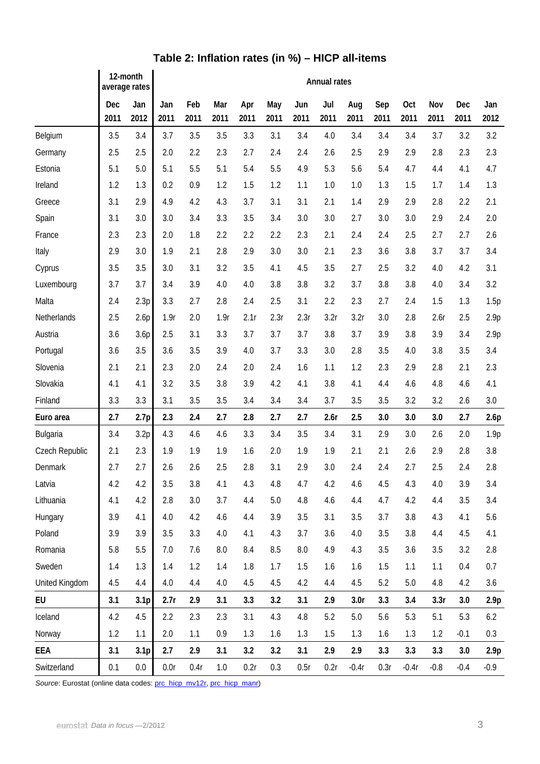|                 | 12-month<br>average rates |                  | <b>Annual rates</b> |             |             |             |             |             |             |                  |             |                    |             |             |             |
|-----------------|---------------------------|------------------|---------------------|-------------|-------------|-------------|-------------|-------------|-------------|------------------|-------------|--------------------|-------------|-------------|-------------|
|                 | Dec<br>2011               | Jan<br>2012      | Jan<br>2011         | Feb<br>2011 | Mar<br>2011 | Apr<br>2011 | May<br>2011 | Jun<br>2011 | Jul<br>2011 | Aug<br>2011      | Sep<br>2011 | <b>Oct</b><br>2011 | Nov<br>2011 | Dec<br>2011 | Jan<br>2012 |
| Belgium         | 3.5                       | 3.4              | 3.7                 | 3.5         | 3.5         | 3.3         | 3.1         | 3.4         | 4.0         | 3.4              | 3.4         | 3.4                | 3.7         | 3.2         | 3.2         |
| Germany         | 2.5                       | 2.5              | 2.0                 | 2.2         | 2.3         | 2.7         | 2.4         | 2.4         | 2.6         | 2.5              | 2.9         | 2.9                | 2.8         | 2.3         | 2.3         |
| Estonia         | 5.1                       | 5.0              | 5.1                 | 5.5         | 5.1         | 5.4         | 5.5         | 4.9         | 5.3         | 5.6              | 5.4         | 4.7                | 4.4         | 4.1         | 4.7         |
| Ireland         | 1.2                       | 1.3              | 0.2                 | 0.9         | 1.2         | 1.5         | 1.2         | 1.1         | 1.0         | 1.0              | 1.3         | 1.5                | 1.7         | 1.4         | 1.3         |
| Greece          | 3.1                       | 2.9              | 4.9                 | 4.2         | 4.3         | 3.7         | 3.1         | 3.1         | 2.1         | 1.4              | 2.9         | 2.9                | 2.8         | 2.2         | 2.1         |
| Spain           | 3.1                       | 3.0              | 3.0                 | 3.4         | 3.3         | 3.5         | 3.4         | 3.0         | 3.0         | 2.7              | 3.0         | 3.0                | 2.9         | 2.4         | 2.0         |
| France          | 2.3                       | 2.3              | 2.0                 | 1.8         | 2.2         | 2.2         | 2.2         | 2.3         | 2.1         | 2.4              | 2.4         | 2.5                | 2.7         | 2.7         | 2.6         |
| Italy           | 2.9                       | 3.0              | 1.9                 | 2.1         | 2.8         | 2.9         | 3.0         | 3.0         | 2.1         | 2.3              | 3.6         | 3.8                | 3.7         | 3.7         | 3.4         |
| Cyprus          | 3.5                       | 3.5              | 3.0                 | 3.1         | 3.2         | 3.5         | 4.1         | 4.5         | 3.5         | 2.7              | 2.5         | 3.2                | 4.0         | 4.2         | 3.1         |
| Luxembourg      | 3.7                       | 3.7              | 3.4                 | 3.9         | 4.0         | 4.0         | 3.8         | 3.8         | 3.2         | 3.7              | 3.8         | 3.8                | 4.0         | 3.4         | 3.2         |
| Malta           | 2.4                       | 2.3p             | 3.3                 | 2.7         | 2.8         | 2.4         | 2.5         | 3.1         | 2.2         | 2.3              | 2.7         | 2.4                | 1.5         | 1.3         | 1.5p        |
| Netherlands     | 2.5                       | 2.6p             | 1.9r                | 2.0         | 1.9r        | 2.1r        | 2.3r        | 2.3r        | 3.2r        | 3.2r             | 3.0         | 2.8                | 2.6r        | 2.5         | 2.9p        |
| Austria         | 3.6                       | 3.6p             | 2.5                 | 3.1         | 3.3         | 3.7         | 3.7         | 3.7         | 3.8         | 3.7              | 3.9         | 3.8                | 3.9         | 3.4         | 2.9p        |
| Portugal        | 3.6                       | 3.5              | 3.6                 | 3.5         | 3.9         | 4.0         | 3.7         | 3.3         | 3.0         | 2.8              | 3.5         | 4.0                | 3.8         | 3.5         | 3.4         |
| Slovenia        | 2.1                       | 2.1              | 2.3                 | 2.0         | 2.4         | 2.0         | 2.4         | 1.6         | 1.1         | 1.2              | 2.3         | 2.9                | 2.8         | 2.1         | 2.3         |
| Slovakia        | 4.1                       | 4.1              | 3.2                 | 3.5         | 3.8         | 3.9         | 4.2         | 4.1         | 3.8         | 4.1              | 4.4         | 4.6                | 4.8         | 4.6         | 4.1         |
| Finland         | 3.3                       | 3.3              | 3.1                 | 3.5         | 3.5         | 3.4         | 3.4         | 3.4         | 3.7         | 3.5              | 3.5         | 3.2                | 3.2         | 2.6         | 3.0         |
| Euro area       | 2.7                       | 2.7p             | 2.3                 | 2.4         | 2.7         | 2.8         | 2.7         | 2.7         | 2.6r        | 2.5              | 3.0         | 3.0                | 3.0         | 2.7         | 2.6p        |
| <b>Bulgaria</b> | 3.4                       | 3.2p             | 4.3                 | 4.6         | 4.6         | 3.3         | 3.4         | 3.5         | 3.4         | 3.1              | 2.9         | 3.0                | 2.6         | 2.0         | 1.9p        |
| Czech Republic  | 2.1                       | 2.3              | 1.9                 | 1.9         | 1.9         | 1.6         | 2.0         | 1.9         | 1.9         | 2.1              | 2.1         | 2.6                | 2.9         | 2.8         | 3.8         |
| Denmark         | 2.7                       | 2.7              | 2.6                 | 2.6         | 2.5         | 2.8         | 3.1         | 2.9         | 3.0         | 2.4              | 2.4         | 2.7                | 2.5         | 2.4         | 2.8         |
| Latvia          | 4.2                       | 4.2              | 3.5                 | 3.8         | 4.1         | 4.3         | 4.8         | 4.7         | 4.2         | 4.6              | 4.5         | 4.3                | 4.0         | 3.9         | 3.4         |
| Lithuania       | 4.1                       | 4.2              | 2.8                 | 3.0         | 3.7         | 4.4         | 5.0         | 4.8         | 4.6         | 4.4              | 4.7         | 4.2                | 4.4         | 3.5         | 3.4         |
| Hungary         | 3.9                       | 4.1              | 4.0                 | 4.2         | 4.6         | 4.4         | 3.9         | 3.5         | 3.1         | 3.5              | 3.7         | 3.8                | 4.3         | 4.1         | 5.6         |
| Poland          | 3.9                       | 3.9              | 3.5                 | 3.3         | 4.0         | 4.1         | 4.3         | 3.7         | 3.6         | 4.0              | 3.5         | 3.8                | 4.4         | 4.5         | 4.1         |
| Romania         | 5.8                       | 5.5              | 7.0                 | 7.6         | 8.0         | 8.4         | 8.5         | 8.0         | 4.9         | 4.3              | 3.5         | 3.6                | 3.5         | 3.2         | 2.8         |
| Sweden          | 1.4                       | 1.3              | 1.4                 | 1.2         | 1.4         | 1.8         | 1.7         | 1.5         | 1.6         | 1.6              | 1.5         | 1.1                | 1.1         | 0.4         | 0.7         |
| United Kingdom  | 4.5                       | 4.4              | 4.0                 | 4.4         | 4.0         | 4.5         | 4.5         | 4.2         | 4.4         | 4.5              | 5.2         | 5.0                | 4.8         | 4.2         | 3.6         |
| EU              | 3.1                       | 3.1 <sub>p</sub> | 2.7r                | 2.9         | 3.1         | 3.3         | 3.2         | 3.1         | 2.9         | 3.0 <sub>r</sub> | 3.3         | 3.4                | 3.3r        | 3.0         | 2.9p        |
| Iceland         | 4.2                       | 4.5              | 2.2                 | 2.3         | 2.3         | 3.1         | 4.3         | 4.8         | 5.2         | 5.0              | 5.6         | 5.3                | 5.1         | 5.3         | 6.2         |
| Norway          | 1.2                       | 1.1              | 2.0                 | 1.1         | 0.9         | 1.3         | 1.6         | 1.3         | 1.5         | 1.3              | 1.6         | 1.3                | 1.2         | $-0.1$      | 0.3         |
| EEA             | 3.1                       | 3.1 <sub>p</sub> | 2.7                 | 2.9         | 3.1         | 3.2         | 3.2         | 3.1         | 2.9         | 2.9              | 3.3         | 3.3                | 3.3         | 3.0         | 2.9p        |
| Switzerland     | 0.1                       | 0.0              | 0.0r                | 0.4r        | 1.0         | 0.2r        | 0.3         | 0.5r        | 0.2r        | $-0.4r$          | 0.3r        | $-0.4r$            | $-0.8$      | $-0.4$      | $-0.9$      |

## **Table 2: Inflation rates (in %) – HICP all-items**

Source: Eurostat (online data codes: [prc\\_hicp\\_mv12r,](http://ec.europa.eu/eurostat/product?code=prc_hicp_mv12r&mode=view) [prc\\_hicp\\_manr](http://ec.europa.eu/eurostat/product?code=prc_hicp_manr&mode=view))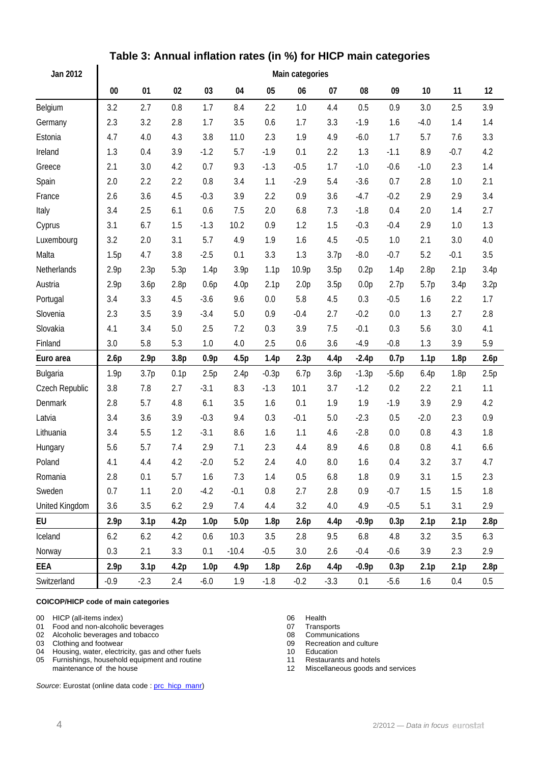| Jan 2012       | Main categories  |                  |                  |                  |                  |                  |                  |                  |                  |         |                  |                  |      |
|----------------|------------------|------------------|------------------|------------------|------------------|------------------|------------------|------------------|------------------|---------|------------------|------------------|------|
|                | $00\,$           | 01               | 02               | 03               | 04               | 05               | 06               | 07               | 08               | 09      | 10               | 11               | 12   |
| Belgium        | 3.2              | 2.7              | 0.8              | 1.7              | 8.4              | 2.2              | 1.0              | 4.4              | 0.5              | 0.9     | 3.0              | 2.5              | 3.9  |
| Germany        | 2.3              | 3.2              | 2.8              | 1.7              | 3.5              | 0.6              | 1.7              | 3.3              | $-1.9$           | 1.6     | $-4.0$           | 1.4              | 1.4  |
| Estonia        | 4.7              | 4.0              | 4.3              | 3.8              | 11.0             | 2.3              | 1.9              | 4.9              | $-6.0$           | 1.7     | 5.7              | 7.6              | 3.3  |
| Ireland        | 1.3              | 0.4              | 3.9              | $-1.2$           | 5.7              | $-1.9$           | 0.1              | 2.2              | 1.3              | $-1.1$  | 8.9              | $-0.7$           | 4.2  |
| Greece         | 2.1              | 3.0              | 4.2              | 0.7              | 9.3              | $-1.3$           | $-0.5$           | 1.7              | $-1.0$           | $-0.6$  | $-1.0$           | 2.3              | 1.4  |
| Spain          | 2.0              | 2.2              | 2.2              | 0.8              | 3.4              | 1.1              | $-2.9$           | 5.4              | $-3.6$           | 0.7     | 2.8              | 1.0              | 2.1  |
| France         | 2.6              | 3.6              | 4.5              | $-0.3$           | 3.9              | 2.2              | 0.9              | 3.6              | $-4.7$           | $-0.2$  | 2.9              | 2.9              | 3.4  |
| Italy          | 3.4              | 2.5              | 6.1              | 0.6              | 7.5              | 2.0              | 6.8              | 7.3              | $-1.8$           | 0.4     | 2.0              | 1.4              | 2.7  |
| Cyprus         | 3.1              | 6.7              | 1.5              | $-1.3$           | 10.2             | 0.9              | 1.2              | 1.5              | $-0.3$           | $-0.4$  | 2.9              | 1.0              | 1.3  |
| Luxembourg     | 3.2              | 2.0              | 3.1              | 5.7              | 4.9              | 1.9              | 1.6              | 4.5              | $-0.5$           | 1.0     | 2.1              | 3.0              | 4.0  |
| Malta          | 1.5p             | 4.7              | 3.8              | $-2.5$           | 0.1              | 3.3              | 1.3              | 3.7p             | $-8.0$           | $-0.7$  | 5.2              | $-0.1$           | 3.5  |
| Netherlands    | 2.9p             | 2.3p             | 5.3p             | 1.4p             | 3.9 <sub>p</sub> | 1.1 <sub>p</sub> | 10.9p            | 3.5p             | 0.2p             | 1.4p    | 2.8p             | 2.1 <sub>p</sub> | 3.4p |
| Austria        | 2.9p             | 3.6p             | 2.8p             | 0.6p             | 4.0 <sub>p</sub> | 2.1 <sub>p</sub> | 2.0 <sub>p</sub> | 3.5p             | 0.0 <sub>p</sub> | 2.7p    | 5.7p             | 3.4p             | 3.2p |
| Portugal       | 3.4              | 3.3              | 4.5              | $-3.6$           | 9.6              | 0.0              | 5.8              | 4.5              | 0.3              | $-0.5$  | 1.6              | 2.2              | 1.7  |
| Slovenia       | 2.3              | 3.5              | 3.9              | $-3.4$           | 5.0              | 0.9              | $-0.4$           | 2.7              | $-0.2$           | 0.0     | 1.3              | 2.7              | 2.8  |
| Slovakia       | 4.1              | 3.4              | 5.0              | 2.5              | 7.2              | 0.3              | 3.9              | 7.5              | $-0.1$           | 0.3     | 5.6              | 3.0              | 4.1  |
| Finland        | 3.0              | 5.8              | 5.3              | 1.0              | 4.0              | 2.5              | 0.6              | 3.6              | $-4.9$           | $-0.8$  | 1.3              | 3.9              | 5.9  |
| Euro area      | 2.6p             | 2.9p             | 3.8 <sub>p</sub> | 0.9p             | 4.5p             | 1.4p             | 2.3p             | 4.4p             | $-2.4p$          | 0.7p    | 1.1 <sub>p</sub> | 1.8p             | 2.6p |
| Bulgaria       | 1.9p             | 3.7p             | 0.1p             | 2.5p             | 2.4p             | $-0.3p$          | 6.7p             | 3.6p             | $-1.3p$          | $-5.6p$ | 6.4p             | 1.8p             | 2.5p |
| Czech Republic | 3.8              | 7.8              | 2.7              | $-3.1$           | 8.3              | $-1.3$           | 10.1             | 3.7              | $-1.2$           | 0.2     | 2.2              | 2.1              | 1.1  |
| Denmark        | 2.8              | 5.7              | 4.8              | 6.1              | 3.5              | 1.6              | 0.1              | 1.9              | 1.9              | $-1.9$  | 3.9              | 2.9              | 4.2  |
| Latvia         | 3.4              | 3.6              | 3.9              | $-0.3$           | 9.4              | 0.3              | $-0.1$           | 5.0              | $-2.3$           | 0.5     | $-2.0$           | 2.3              | 0.9  |
| Lithuania      | 3.4              | 5.5              | 1.2              | $-3.1$           | 8.6              | 1.6              | 1.1              | 4.6              | $-2.8$           | 0.0     | 0.8              | 4.3              | 1.8  |
| Hungary        | 5.6              | 5.7              | 7.4              | 2.9              | 7.1              | 2.3              | 4.4              | 8.9              | 4.6              | 0.8     | 0.8              | 4.1              | 6.6  |
| Poland         | 4.1              | 4.4              | 4.2              | $-2.0$           | 5.2              | 2.4              | 4.0              | $8.0\,$          | 1.6              | 0.4     | 3.2              | 3.7              | 4.7  |
| Romania        | 2.8              | 0.1              | 5.7              | 1.6              | 7.3              | 1.4              | 0.5              | $6.8\,$          | 1.8              | 0.9     | 3.1              | 1.5              | 2.3  |
| Sweden         | 0.7              | 1.1              | 2.0              | $-4.2$           | $-0.1$           | 0.8              | 2.7              | 2.8              | 0.9              | $-0.7$  | 1.5              | 1.5              | 1.8  |
| United Kingdom | 3.6              | 3.5              | 6.2              | 2.9              | 7.4              | 4.4              | 3.2              | 4.0              | 4.9              | $-0.5$  | 5.1              | 3.1              | 2.9  |
| EU             | 2.9 <sub>p</sub> | 3.1 <sub>p</sub> | 4.2p             | 1.0 <sub>p</sub> | 5.0 <sub>p</sub> | 1.8p             | 2.6p             | 4.4 <sub>p</sub> | $-0.9p$          | 0.3p    | 2.1 <sub>p</sub> | 2.1 <sub>p</sub> | 2.8p |
| Iceland        | 6.2              | 6.2              | 4.2              | 0.6              | 10.3             | 3.5              | 2.8              | 9.5              | 6.8              | 4.8     | 3.2              | 3.5              | 6.3  |
| Norway         | 0.3              | 2.1              | 3.3              | 0.1              | $-10.4$          | $-0.5$           | 3.0              | 2.6              | $-0.4$           | $-0.6$  | 3.9              | 2.3              | 2.9  |
| EEA            | 2.9 <sub>p</sub> | 3.1 <sub>p</sub> | 4.2p             | 1.0 <sub>p</sub> | 4.9p             | 1.8p             | 2.6p             | 4.4p             | $-0.9p$          | 0.3p    | 2.1 <sub>p</sub> | 2.1 <sub>p</sub> | 2.8p |
| Switzerland    | $-0.9$           | $-2.3$           | 2.4              | $-6.0$           | 1.9              | $-1.8$           | $-0.2$           | $-3.3$           | 0.1              | $-5.6$  | 1.6              | 0.4              | 0.5  |

## **Table 3: Annual inflation rates (in %) for HICP main categories**

#### **COICOP/HICP code of main categories**

 $\overline{a}$ 

00 HICP (all-items index)<br>
01 Food and non-alcoholic beverages<br>
07 Transports

- 01 Food and non-alcoholic beverages<br>
02 Alcoholic beverages and tobacco<br>
02 Alcoholic beverages and tobacco
- 02 Alcoholic beverages and tobacco<br>
03 Clothing and footwear<br>
09 Recreation and culture
- 
- 03 Clothing and footwear 09 Recreation 04 Housing, water, electricity, gas and other fuels 09 09 Recreation 04 Housing, water, electricity, gas and other fuels 10 Education<br>
05 Furnishings, household equipment and routine 11 Restaurants and hotels
- 05 Furnishings, household equipment and routine maintenance of the house

Source: Eurostat (online data code : [prc\\_hicp\\_manr\)](http://ec.europa.eu/eurostat/product?code=prc_hicp_manr&mode=view)

- 
- 
- 
- 
- 
- 
- 12 Miscellaneous goods and services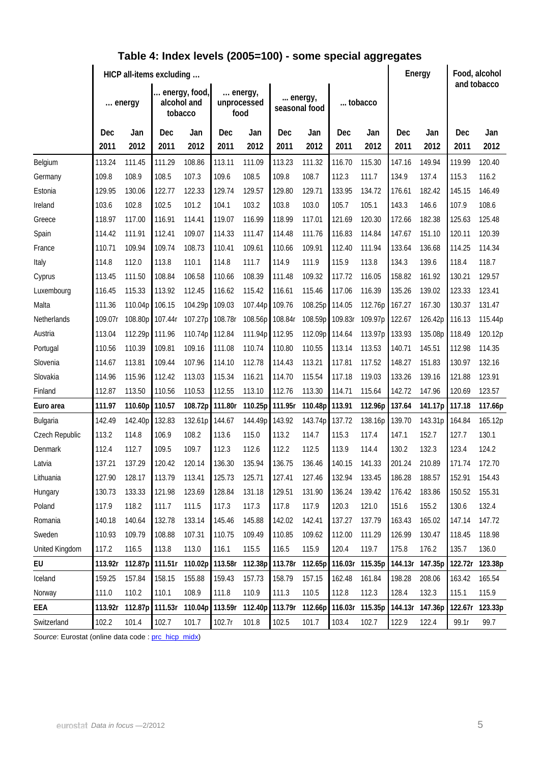|                | HICP all-items excluding |         |                                         |                 |         |                                |        |                          |         |                 |        | Energy          |        | Food, alcohol<br>and tobacco |  |
|----------------|--------------------------|---------|-----------------------------------------|-----------------|---------|--------------------------------|--------|--------------------------|---------|-----------------|--------|-----------------|--------|------------------------------|--|
|                |                          | energy  | energy, food,<br>alcohol and<br>tobacco |                 |         | energy,<br>unprocessed<br>food |        | energy,<br>seasonal food |         | tobacco         |        |                 |        |                              |  |
|                | Dec                      | Jan     | Dec                                     | Jan             | Dec     | Jan                            | Dec    | Jan                      | Dec     | Jan             | Dec    | Jan             | Dec    | Jan                          |  |
|                | 2011                     | 2012    | 2011                                    | 2012            | 2011    | 2012                           | 2011   | 2012                     | 2011    | 2012            | 2011   | 2012            | 2011   | 2012                         |  |
| Belgium        | 113.24                   | 111.45  | 111.29                                  | 108.86          | 113.11  | 111.09                         | 113.23 | 111.32                   | 116.70  | 115.30          | 147.16 | 149.94          | 119.99 | 120.40                       |  |
| Germany        | 109.8                    | 108.9   | 108.5                                   | 107.3           | 109.6   | 108.5                          | 109.8  | 108.7                    | 112.3   | 111.7           | 134.9  | 137.4           | 115.3  | 116.2                        |  |
| Estonia        | 129.95                   | 130.06  | 122.77                                  | 122.33          | 129.74  | 129.57                         | 129.80 | 129.71                   | 133.95  | 134.72          | 176.61 | 182.42          | 145.15 | 146.49                       |  |
| Ireland        | 103.6                    | 102.8   | 102.5                                   | 101.2           | 104.1   | 103.2                          | 103.8  | 103.0                    | 105.7   | 105.1           | 143.3  | 146.6           | 107.9  | 108.6                        |  |
| Greece         | 118.97                   | 117.00  | 116.91                                  | 114.41          | 119.07  | 116.99                         | 118.99 | 117.01                   | 121.69  | 120.30          | 172.66 | 182.38          | 125.63 | 125.48                       |  |
| Spain          | 114.42                   | 111.91  | 112.41                                  | 109.07          | 114.33  | 111.47                         | 114.48 | 111.76                   | 116.83  | 114.84          | 147.67 | 151.10          | 120.11 | 120.39                       |  |
| France         | 110.71                   | 109.94  | 109.74                                  | 108.73          | 110.41  | 109.61                         | 110.66 | 109.91                   | 112.40  | 111.94          | 133.64 | 136.68          | 114.25 | 114.34                       |  |
| Italy          | 114.8                    | 112.0   | 113.8                                   | 110.1           | 114.8   | 111.7                          | 114.9  | 111.9                    | 115.9   | 113.8           | 134.3  | 139.6           | 118.4  | 118.7                        |  |
| Cyprus         | 113.45                   | 111.50  | 108.84                                  | 106.58          | 110.66  | 108.39                         | 111.48 | 109.32                   | 117.72  | 116.05          | 158.82 | 161.92          | 130.21 | 129.57                       |  |
| Luxembourg     | 116.45                   | 115.33  | 113.92                                  | 112.45          | 116.62  | 115.42                         | 116.61 | 115.46                   | 117.06  | 116.39          | 135.26 | 139.02          | 123.33 | 123.41                       |  |
| Malta          | 111.36                   | 110.04p | 106.15                                  | 104.29p         | 109.03  | 107.44p                        | 109.76 | 108.25p                  | 114.05  | 112.76p         | 167.27 | 167.30          | 130.37 | 131.47                       |  |
| Netherlands    | 109.07r                  | 108.80p | 107.44r                                 | 107.27p 108.78r |         | 108.56p 108.84r                |        | 108.59p                  | 109.83r | 109.97p         | 122.67 | 126.42p         | 116.13 | 115.44p                      |  |
| Austria        | 113.04                   | 112.29p | 111.96                                  | 110.74p         | 112.84  | 111.94p 112.95                 |        | 112.09p                  | 114.64  | 113.97p         | 133.93 | 135.08p         | 118.49 | 120.12p                      |  |
| Portugal       | 110.56                   | 110.39  | 109.81                                  | 109.16          | 111.08  | 110.74                         | 110.80 | 110.55                   | 113.14  | 113.53          | 140.71 | 145.51          | 112.98 | 114.35                       |  |
| Slovenia       | 114.67                   | 113.81  | 109.44                                  | 107.96          | 114.10  | 112.78                         | 114.43 | 113.21                   | 117.81  | 117.52          | 148.27 | 151.83          | 130.97 | 132.16                       |  |
| Slovakia       | 114.96                   | 115.96  | 112.42                                  | 113.03          | 115.34  | 116.21                         | 114.70 | 115.54                   | 117.18  | 119.03          | 133.26 | 139.16          | 121.88 | 123.91                       |  |
| Finland        | 112.87                   | 113.50  | 110.56                                  | 110.53          | 112.55  | 113.10                         | 112.76 | 113.30                   | 114.71  | 115.64          | 142.72 | 147.96          | 120.69 | 123.57                       |  |
| Euro area      | 111.97                   | 110.60p | 110.57                                  | 108.72p         | 111.80r | 110.25p 111.95r                |        | 110.48p                  | 113.91  | 112.96p         | 137.64 | 141.17p         | 117.18 | 117.66p                      |  |
| Bulgaria       | 142.49                   | 142.40p | 132.83                                  | 132.61p         | 144.67  | 144.49p 143.92                 |        | 143.74p                  | 137.72  | 138.16p         | 139.70 | 143.31p         | 164.84 | 165.12p                      |  |
| Czech Republic | 113.2                    | 114.8   | 106.9                                   | 108.2           | 113.6   | 115.0                          | 113.2  | 114.7                    | 115.3   | 117.4           | 147.1  | 152.7           | 127.7  | 130.1                        |  |
| Denmark        | 112.4                    | 112.7   | 109.5                                   | 109.7           | 112.3   | 112.6                          | 112.2  | 112.5                    | 113.9   | 114.4           | 130.2  | 132.3           | 123.4  | 124.2                        |  |
| Latvia         | 137.21                   | 137.29  | 120.42                                  | 120.14          | 136.30  | 135.94                         | 136.75 | 136.46                   | 140.15  | 141.33          | 201.24 | 210.89          | 171.74 | 172.70                       |  |
| Lithuania      | 127.90                   | 128.17  | 113.79                                  | 113.41          | 125.73  | 125.71                         | 127.41 | 127.46                   | 132.94  | 133.45          | 186.28 | 188.57          | 152.91 | 154.43                       |  |
| Hungary        | 130.73                   | 133.33  | 121.98                                  | 123.69          | 128.84  | 131.18                         | 129.51 | 131.90                   | 136.24  | 139.42          | 176.42 | 183.86          | 150.52 | 155.31                       |  |
| Poland         | 117.9                    | 118.2   | 111.7                                   | 111.5           | 117.3   | 117.3                          | 117.8  | 117.9                    | 120.3   | 121.0           | 151.6  | 155.2           | 130.6  | 132.4                        |  |
| Romania        | 140.18                   | 140.64  | 132.78                                  | 133.14          | 145.46  | 145.88                         | 142.02 | 142.41                   | 137.27  | 137.79          | 163.43 | 165.02          | 147.14 | 147.72                       |  |
| Sweden         | 110.93                   | 109.79  | 108.88                                  | 107.31          | 110.75  | 109.49                         | 110.85 | 109.62                   | 112.00  | 111.29          | 126.99 | 130.47          | 118.45 | 118.98                       |  |
| United Kingdom | 117.2                    | 116.5   | 113.8                                   | 113.0           | 116.1   | 115.5                          | 116.5  | 115.9                    | 120.4   | 119.7           | 175.8  | 176.2           | 135.7  | 136.0                        |  |
| EU             | 113.92r                  | 112.87p | 111.51r                                 | 110.02p         | 113.58r | 112.38p 113.78r                |        | 112.65p                  |         | 116.03r 115.35p |        | 144.13r 147.35p |        | 122.72r 123.38p              |  |
| Iceland        | 159.25                   | 157.84  | 158.15                                  | 155.88          | 159.43  | 157.73                         | 158.79 | 157.15                   | 162.48  | 161.84          | 198.28 | 208.06          | 163.42 | 165.54                       |  |
| Norway         | 111.0                    | 110.2   | 110.1                                   | 108.9           | 111.8   | 110.9                          | 111.3  | 110.5                    | 112.8   | 112.3           | 128.4  | 132.3           | 115.1  | 115.9                        |  |
| EEA            | 113.92r                  | 112.87p | 111.53r                                 | 110.04p         |         | 113.59r 112.40p 113.79r        |        | 112.66p                  |         | 116.03r 115.35p |        | 144.13r 147.36p |        | 122.67r 123.33p              |  |
| Switzerland    | 102.2                    | 101.4   | 102.7                                   | 101.7           | 102.7r  | 101.8                          | 102.5  | 101.7                    | 103.4   | 102.7           | 122.9  | 122.4           | 99.1r  | 99.7                         |  |

### **Table 4: Index levels (2005=100) - some special aggregates**

Source: Eurostat (online data code : [prc\\_hicp\\_midx\)](http://ec.europa.eu/eurostat/product?code=prc_hicp_midx&mode=view)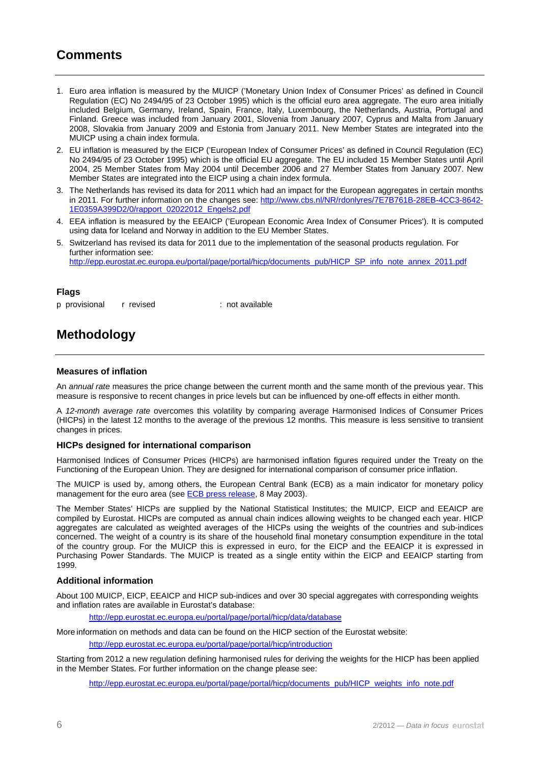### **Comments**

- 1. Euro area inflation is measured by the MUICP ('Monetary Union Index of Consumer Prices' as defined in Council Regulation (EC) No 2494/95 of 23 October 1995) which is the official euro area aggregate. The euro area initially included Belgium, Germany, Ireland, Spain, France, Italy, Luxembourg, the Netherlands, Austria, Portugal and Finland. Greece was included from January 2001, Slovenia from January 2007, Cyprus and Malta from January 2008, Slovakia from January 2009 and Estonia from January 2011. New Member States are integrated into the MUICP using a chain index formula.
- 2. EU inflation is measured by the EICP ('European Index of Consumer Prices' as defined in Council Regulation (EC) No 2494/95 of 23 October 1995) which is the official EU aggregate. The EU included 15 Member States until April 2004, 25 Member States from May 2004 until December 2006 and 27 Member States from January 2007. New Member States are integrated into the EICP using a chain index formula.
- 3. The Netherlands has revised its data for 2011 which had an impact for the European aggregates in certain months in 2011. For further information on the changes see: [http://www.cbs.nl/NR/rdonlyres/7E7B761B-28EB-4CC3-8642-](http://www.cbs.nl/NR/rdonlyres/7E7B761B-28EB-4CC3-8642-1E0359A399D2/0/rapport_02022012_Engels2.pdf&sa=U&ei=sbg7T4TjO9HsOe3tkeAC&ved=0CAQQFjAA&client=internal-uds-cse&usg=AFQjCNGcSdYP5uF3NWo5bXGws7L9MLMetg) [1E0359A399D2/0/rapport\\_02022012\\_Engels2.pdf](http://www.cbs.nl/NR/rdonlyres/7E7B761B-28EB-4CC3-8642-1E0359A399D2/0/rapport_02022012_Engels2.pdf&sa=U&ei=sbg7T4TjO9HsOe3tkeAC&ved=0CAQQFjAA&client=internal-uds-cse&usg=AFQjCNGcSdYP5uF3NWo5bXGws7L9MLMetg)
- 4. EEA inflation is measured by the EEAICP ('European Economic Area Index of Consumer Prices'). It is computed using data for Iceland and Norway in addition to the EU Member States.
- 5. Switzerland has revised its data for 2011 due to the implementation of the seasonal products regulation. For further information see: [http://epp.eurostat.ec.europa.eu/portal/page/portal/hicp/documents\\_pub/HICP\\_SP\\_info\\_note\\_annex\\_2011.pdf](http://epp.eurostat.ec.europa.eu/portal/page/portal/hicp/documents_pub/HICP_SP_info_note_annex_2011.pdf)

#### **Flags**

p provisional r revised : not available

## **Methodology**

#### **Measures of inflation**

An *annual rate* measures the price change between the current month and the same month of the previous year. This measure is responsive to recent changes in price levels but can be influenced by one-off effects in either month.

A *12-month average rate* overcomes this volatility by comparing average Harmonised Indices of Consumer Prices (HICPs) in the latest 12 months to the average of the previous 12 months. This measure is less sensitive to transient changes in prices.

#### **HICPs designed for international comparison**

Harmonised Indices of Consumer Prices (HICPs) are harmonised inflation figures required under the Treaty on the Functioning of the European Union. They are designed for international comparison of consumer price inflation.

The MUICP is used by, among others, the European Central Bank (ECB) as a main indicator for monetary policy management for the euro area (see [ECB press release](http://www.ecb.int/press/pr/date/2003/html/pr030508_2.en.html), 8 May 2003).

The Member States' HICPs are supplied by the National Statistical Institutes; the MUICP, EICP and EEAICP are compiled by Eurostat. HICPs are computed as annual chain indices allowing weights to be changed each year. HICP aggregates are calculated as weighted averages of the HICPs using the weights of the countries and sub-indices concerned. The weight of a country is its share of the household final monetary consumption expenditure in the total of the country group. For the MUICP this is expressed in euro, for the EICP and the EEAICP it is expressed in Purchasing Power Standards. The MUICP is treated as a single entity within the EICP and EEAICP starting from 1999.

#### **Additional information**

About 100 MUICP, EICP, EEAICP and HICP sub-indices and over 30 special aggregates with corresponding weights and inflation rates are available in Eurostat's database:

<http://epp.eurostat.ec.europa.eu/portal/page/portal/hicp/data/database>

More information on methods and data can be found on the HICP section of the Eurostat website:

<http://epp.eurostat.ec.europa.eu/portal/page/portal/hicp/introduction>

Starting from 2012 a new regulation defining harmonised rules for deriving the weights for the HICP has been applied in the Member States. For further information on the change please see:

[http://epp.eurostat.ec.europa.eu/portal/page/portal/hicp/documents\\_pub/HICP\\_weights\\_info\\_note.pdf](http://epp.eurostat.ec.europa.eu/portal/page/portal/hicp/documents_pub/HICP_weights_info_note.pdf)